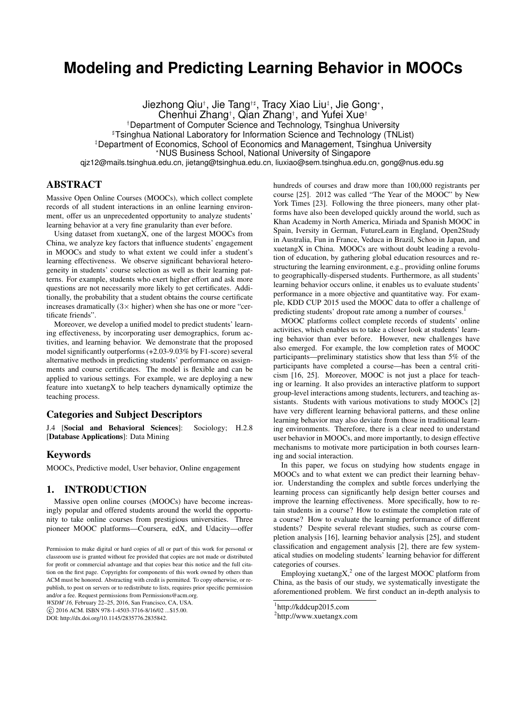# **Modeling and Predicting Learning Behavior in MOOCs**

Jiezhong Qiu†, Jie Tang†‡, Tracy Xiao Liu‡, Jie Gong\*,

Chenhui Zhang† , Qian Zhang† , and Yufei Xue†

†Department of Computer Science and Technology, Tsinghua University

<sup>#</sup>Tsinghua National Laboratory for Information Science and Technology (TNList)

‡Department of Economics, School of Economics and Management, Tsinghua University

?NUS Business School, National University of Singapore

qjz12@mails.tsinghua.edu.cn, jietang@tsinghua.edu.cn, liuxiao@sem.tsinghua.edu.cn, gong@nus.edu.sg

# ABSTRACT

Massive Open Online Courses (MOOCs), which collect complete records of all student interactions in an online learning environment, offer us an unprecedented opportunity to analyze students' learning behavior at a very fine granularity than ever before.

Using dataset from xuetangX, one of the largest MOOCs from China, we analyze key factors that influence students' engagement in MOOCs and study to what extent we could infer a student's learning effectiveness. We observe significant behavioral heterogeneity in students' course selection as well as their learning patterns. For example, students who exert higher effort and ask more questions are not necessarily more likely to get certificates. Additionally, the probability that a student obtains the course certificate increases dramatically  $(3 \times$  higher) when she has one or more "certificate friends".

Moreover, we develop a unified model to predict students' learning effectiveness, by incorporating user demographics, forum activities, and learning behavior. We demonstrate that the proposed model significantly outperforms (+2.03-9.03% by F1-score) several alternative methods in predicting students' performance on assignments and course certificates. The model is flexible and can be applied to various settings. For example, we are deploying a new feature into xuetangX to help teachers dynamically optimize the teaching process.

# Categories and Subject Descriptors

J.4 [Social and Behavioral Sciences]: Sociology; H.2.8 [Database Applications]: Data Mining

### Keywords

MOOCs, Predictive model, User behavior, Online engagement

### 1. INTRODUCTION

Massive open online courses (MOOCs) have become increasingly popular and offered students around the world the opportunity to take online courses from prestigious universities. Three pioneer MOOC platforms—Coursera, edX, and Udacity—offer hundreds of courses and draw more than 100,000 registrants per course [25]. 2012 was called "The Year of the MOOC" by New York Times [23]. Following the three pioneers, many other platforms have also been developed quickly around the world, such as Khan Academy in North America, Miriada and Spanish MOOC in Spain, Iversity in German, FutureLearn in England, Open2Study in Australia, Fun in France, Veduca in Brazil, Schoo in Japan, and xuetangX in China. MOOCs are without doubt leading a revolution of education, by gathering global education resources and restructuring the learning environment, e.g., providing online forums to geographically-dispersed students. Furthermore, as all students' learning behavior occurs online, it enables us to evaluate students' performance in a more objective and quantitative way. For example, KDD CUP 2015 used the MOOC data to offer a challenge of predicting students' dropout rate among a number of courses.

MOOC platforms collect complete records of students' online activities, which enables us to take a closer look at students' learning behavior than ever before. However, new challenges have also emerged. For example, the low completion rates of MOOC participants—preliminary statistics show that less than 5% of the participants have completed a course—has been a central criticism [16, 25]. Moreover, MOOC is not just a place for teaching or learning. It also provides an interactive platform to support group-level interactions among students, lecturers, and teaching assistants. Students with various motivations to study MOOCs [2] have very different learning behavioral patterns, and these online learning behavior may also deviate from those in traditional learning environments. Therefore, there is a clear need to understand user behavior in MOOCs, and more importantly, to design effective mechanisms to motivate more participation in both courses learning and social interaction.

In this paper, we focus on studying how students engage in MOOCs and to what extent we can predict their learning behavior. Understanding the complex and subtle forces underlying the learning process can significantly help design better courses and improve the learning effectiveness. More specifically, how to retain students in a course? How to estimate the completion rate of a course? How to evaluate the learning performance of different students? Despite several relevant studies, such as course completion analysis [16], learning behavior analysis [25], and student classification and engagement analysis [2], there are few systematical studies on modeling students' learning behavior for different categories of courses.

Employing xuetang $X$ ,<sup>2</sup> one of the largest MOOC platform from China, as the basis of our study, we systematically investigate the aforementioned problem. We first conduct an in-depth analysis to

Permission to make digital or hard copies of all or part of this work for personal or classroom use is granted without fee provided that copies are not made or distributed for profit or commercial advantage and that copies bear this notice and the full citation on the first page. Copyrights for components of this work owned by others than ACM must be honored. Abstracting with credit is permitted. To copy otherwise, or republish, to post on servers or to redistribute to lists, requires prior specific permission and/or a fee. Request permissions from Permissions@acm.org.

*WSDM'16,* February 22–25, 2016, San Francisco, CA, USA.

c 2016 ACM. ISBN 978-1-4503-3716-8/16/02 ...\$15.00.

DOI: http://dx.doi.org/10.1145/2835776.2835842.

<sup>1</sup> http://kddcup2015.com

<sup>2</sup> http://www.xuetangx.com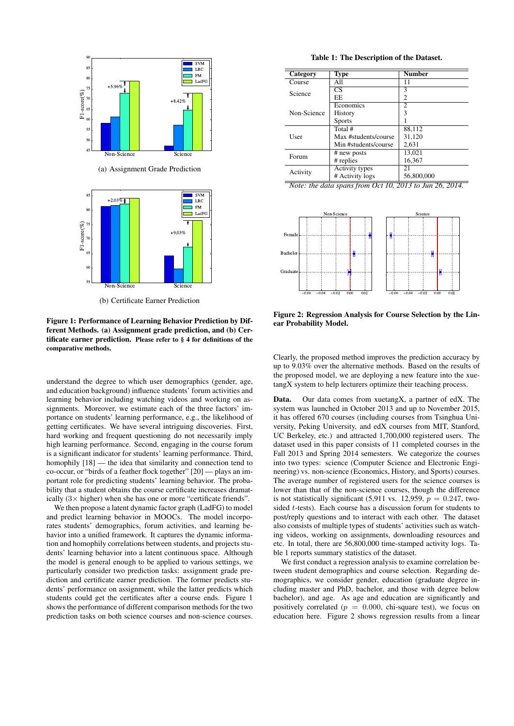



(b) Certificate Earner Prediction

Figure 1: Performance of Learning Behavior Prediction by Different Methods. (a) Assignment grade prediction, and (b) Certificate earner prediction. Please refer to § 4 for definitions of the comparative methods.

understand the degree to which user demographics (gender, age, and education background) influence students' forum activities and learning behavior including watching videos and working on assignments. Moreover, we estimate each of the three factors' importance on students' learning performance, e.g., the likelihood of getting certificates. We have several intriguing discoveries. First, hard working and frequent questioning do not necessarily imply high learning performance. Second, engaging in the course forum is a significant indicator for students' learning performance. Third, homophily  $[18]$  — the idea that similarity and connection tend to co-occur, or "birds of a feather flock together" [20] — plays an important role for predicting students' learning behavior. The probability that a student obtains the course certificate increases dramatically  $(3 \times$  higher) when she has one or more "certificate friends".

We then propose a latent dynamic factor graph (LadFG) to model and predict learning behavior in MOOCs. The model incorporates students' demographics, forum activities, and learning behavior into a unified framework. It captures the dynamic information and homophily correlations between students, and projects students' learning behavior into a latent continuous space. Although the model is general enough to be applied to various settings, we particularly consider two prediction tasks: assignment grade prediction and certificate earner prediction. The former predicts students' performance on assignment, while the latter predicts which students could get the certificates after a course ends. Figure 1 shows the performance of different comparison methods for the two prediction tasks on both science courses and non-science courses.

Table 1: The Description of the Dataset.

| Category    | Type                 | <b>Number</b> |
|-------------|----------------------|---------------|
| Course      | All                  | 11            |
| Science     | CS                   | 3             |
|             | EE                   | 2             |
|             | Economics            | 2             |
| Non-Science | History              | 3             |
|             | <b>Sports</b>        |               |
|             | Total #              | 88.112        |
| User        | Max #students/course | 31,120        |
|             | Min #students/course | 2.631         |
| Forum       | # new posts          | 13,021        |
|             | # replies            | 16,367        |
| Activity    | Activity types       | 21            |
|             | # Activity logs      | 56,800,000    |

*Note: the data spans from Oct 10, 2013 to Jun 26, 2014.*



Figure 2: Regression Analysis for Course Selection by the Linear Probability Model.

Clearly, the proposed method improves the prediction accuracy by up to 9.03% over the alternative methods. Based on the results of the proposed model, we are deploying a new feature into the xuetangX system to help lecturers optimize their teaching process.

Data. Our data comes from xuetangX, a partner of edX. The system was launched in October 2013 and up to November 2015, it has offered 670 courses (including courses from Tsinghua University, Peking University, and edX courses from MIT, Stanford, UC Berkeley, etc.) and attracted 1,700,000 registered users. The dataset used in this paper consists of 11 completed courses in the Fall 2013 and Spring 2014 semesters. We categorize the courses into two types: science (Computer Science and Electronic Engineering) vs. non-science (Economics, History, and Sports) courses. The average number of registered users for the science courses is lower than that of the non-science courses, though the difference is not statistically significant (5,911 vs. 12,959,  $p = 0.247$ , twosided t-tests). Each course has a discussion forum for students to post/reply questions and to interact with each other. The dataset also consists of multiple types of students' activities such as watching videos, working on assignments, downloading resources and etc. In total, there are 56,800,000 time-stamped activity logs. Table 1 reports summary statistics of the dataset.

We first conduct a regression analysis to examine correlation between student demographics and course selection. Regarding demographics, we consider gender, education (graduate degree including master and PhD, bachelor, and those with degree below bachelor), and age. As age and education are significantly and positively correlated ( $p = 0.000$ , chi-square test), we focus on education here. Figure 2 shows regression results from a linear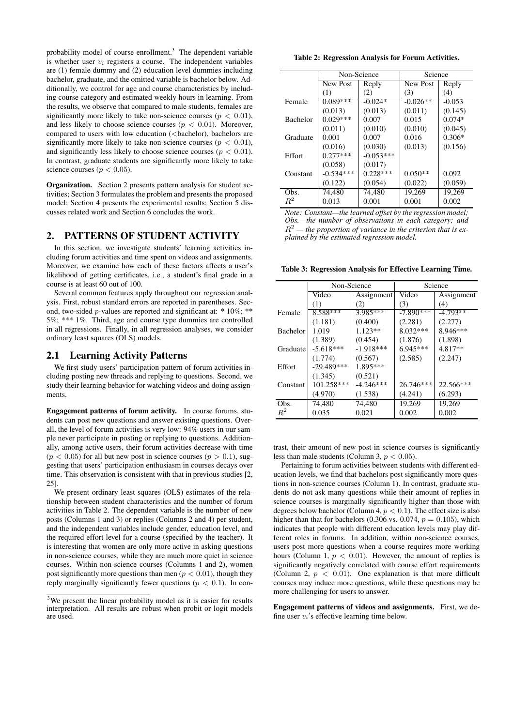probability model of course enrollment.<sup>3</sup> The dependent variable is whether user  $v_i$  registers a course. The independent variables are (1) female dummy and (2) education level dummies including bachelor, graduate, and the omitted variable is bachelor below. Additionally, we control for age and course characteristics by including course category and estimated weekly hours in learning. From the results, we observe that compared to male students, females are significantly more likely to take non-science courses ( $p < 0.01$ ), and less likely to choose science courses ( $p < 0.01$ ). Moreover, compared to users with low education (<br/>bachelor), bachelors are significantly more likely to take non-science courses ( $p < 0.01$ ), and significantly less likely to choose science courses ( $p < 0.01$ ). In contrast, graduate students are significantly more likely to take science courses ( $p < 0.05$ ).

Organization. Section 2 presents pattern analysis for student activities; Section 3 formulates the problem and presents the proposed model; Section 4 presents the experimental results; Section 5 discusses related work and Section 6 concludes the work.

### 2. PATTERNS OF STUDENT ACTIVITY

In this section, we investigate students' learning activities including forum activities and time spent on videos and assignments. Moreover, we examine how each of these factors affects a user's likelihood of getting certificates, i.e., a student's final grade in a course is at least 60 out of 100.

Several common features apply throughout our regression analysis. First, robust standard errors are reported in parentheses. Second, two-sided p-values are reported and significant at: \* 10%; \*\* 5%; \*\*\* 1%. Third, age and course type dummies are controlled in all regressions. Finally, in all regression analyses, we consider ordinary least squares (OLS) models.

### 2.1 Learning Activity Patterns

We first study users' participation pattern of forum activities including posting new threads and replying to questions. Second, we study their learning behavior for watching videos and doing assignments.

Engagement patterns of forum activity. In course forums, students can post new questions and answer existing questions. Overall, the level of forum activities is very low: 94% users in our sample never participate in posting or replying to questions. Additionally, among active users, their forum activities decrease with time  $(p < 0.05)$  for all but new post in science courses  $(p > 0.1)$ , suggesting that users' participation enthusiasm in courses decays over time. This observation is consistent with that in previous studies [2, 25].

We present ordinary least squares (OLS) estimates of the relationship between student characteristics and the number of forum activities in Table 2. The dependent variable is the number of new posts (Columns 1 and 3) or replies (Columns 2 and 4) per student, and the independent variables include gender, education level, and the required effort level for a course (specified by the teacher). It is interesting that women are only more active in asking questions in non-science courses, while they are much more quiet in science courses. Within non-science courses (Columns 1 and 2), women post significantly more questions than men ( $p < 0.01$ ), though they reply marginally significantly fewer questions ( $p < 0.1$ ). In con-

Table 2: Regression Analysis for Forum Activities.

|                 | Non-Science     |             | Science         |          |
|-----------------|-----------------|-------------|-----------------|----------|
|                 | <b>New Post</b> | Reply       | <b>New Post</b> | Reply    |
|                 | (1)             | (2)         | (3)             | (4)      |
| Female          | $0.089***$      | $-0.024*$   | $-0.026**$      | $-0.053$ |
|                 | (0.013)         | (0.013)     | (0.011)         | (0.145)  |
| <b>Bachelor</b> | $0.029***$      | 0.007       | 0.015           | $0.074*$ |
|                 | (0.011)         | (0.010)     | (0.010)         | (0.045)  |
| Graduate        | 0.001           | 0.007       | 0.016           | $0.306*$ |
|                 | (0.016)         | (0.030)     | (0.013)         | (0.156)  |
| Effort          | $0.277***$      | $-0.053***$ |                 |          |
|                 | (0.058)         | (0.017)     |                 |          |
| Constant        | $-0.534***$     | $0.228***$  | $0.050**$       | 0.092    |
|                 | (0.122)         | (0.054)     | (0.022)         | (0.059)  |
| Obs.            | 74,480          | 74,480      | 19,269          | 19,269   |
| $R^2$           | 0.013           | 0.001       | 0.001           | 0.002    |

*Note: Constant—the learned offset by the regression model; Obs.—the number of observations in each category; and*  $R^2$  — the proportion of variance in the criterion that is ex*plained by the estimated regression model.*

Table 3: Regression Analysis for Effective Learning Time.

|                 | Non-Science  |             |             | Science    |
|-----------------|--------------|-------------|-------------|------------|
|                 | Video        | Assignment  | Video       | Assignment |
|                 | (1)          | (2)         | (3)         | (4)        |
| Female          | 8.588***     | 3.985***    | $-7.890***$ | $-4.793**$ |
|                 | (1.181)      | (0.400)     | (2.281)     | (2.277)    |
| <b>Bachelor</b> | 1.019        | $1.123**$   | 8.032***    | 8.946***   |
|                 | (1.389)      | (0.454)     | (1.876)     | (1.898)    |
| Graduate        | $-5.618***$  | $-1.918***$ | $6.945***$  | 4.817**    |
|                 | (1.774)      | (0.567)     | (2.585)     | (2.247)    |
| Effort          | $-29.489***$ | 1.895***    |             |            |
|                 | (1.345)      | (0.521)     |             |            |
| Constant        | 101.258***   | $-4.246***$ | 26.746***   | 22.566***  |
|                 | (4.970)      | (1.538)     | (4.241)     | (6.293)    |
| Obs.            | 74,480       | 74,480      | 19,269      | 19,269     |
| $R^2$           | 0.035        | 0.021       | 0.002       | 0.002      |

trast, their amount of new post in science courses is significantly less than male students (Column 3,  $p < 0.05$ ).

Pertaining to forum activities between students with different education levels, we find that bachelors post significantly more questions in non-science courses (Column 1). In contrast, graduate students do not ask many questions while their amount of replies in science courses is marginally significantly higher than those with degrees below bachelor (Column 4,  $p < 0.1$ ). The effect size is also higher than that for bachelors (0.306 vs. 0.074,  $p = 0.105$ ), which indicates that people with different education levels may play different roles in forums. In addition, within non-science courses, users post more questions when a course requires more working hours (Column 1,  $p < 0.01$ ). However, the amount of replies is significantly negatively correlated with course effort requirements (Column 2,  $p < 0.01$ ). One explanation is that more difficult courses may induce more questions, while these questions may be more challenging for users to answer.

Engagement patterns of videos and assignments. First, we define user  $v_i$ 's effective learning time below.

<sup>&</sup>lt;sup>3</sup>We present the linear probability model as it is easier for results interpretation. All results are robust when probit or logit models are used.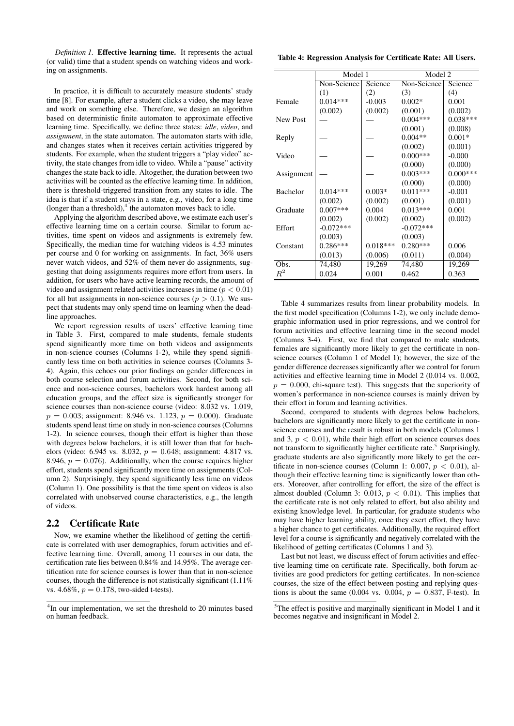*Definition 1.* Effective learning time. It represents the actual (or valid) time that a student spends on watching videos and working on assignments.

In practice, it is difficult to accurately measure students' study time [8]. For example, after a student clicks a video, she may leave and work on something else. Therefore, we design an algorithm based on deterministic finite automaton to approximate effective learning time. Specifically, we define three states: *idle*, *video*, and *assignment*, in the state automaton. The automaton starts with idle, and changes states when it receives certain activities triggered by students. For example, when the student triggers a "play video" activity, the state changes from idle to video. While a "pause" activity changes the state back to idle. Altogether, the duration between two activities will be counted as the effective learning time. In addition, there is threshold-triggered transition from any states to idle. The idea is that if a student stays in a state, e.g., video, for a long time (longer than a threshold), $4$  the automaton moves back to idle.

Applying the algorithm described above, we estimate each user's effective learning time on a certain course. Similar to forum activities, time spent on videos and assignments is extremely few. Specifically, the median time for watching videos is 4.53 minutes per course and 0 for working on assignments. In fact, 36% users never watch videos, and 52% of them never do assignments, suggesting that doing assignments requires more effort from users. In addition, for users who have active learning records, the amount of video and assignment related activities increases in time ( $p < 0.01$ ) for all but assignments in non-science courses ( $p > 0.1$ ). We suspect that students may only spend time on learning when the deadline approaches.

We report regression results of users' effective learning time in Table 3. First, compared to male students, female students spend significantly more time on both videos and assignments in non-science courses (Columns 1-2), while they spend significantly less time on both activities in science courses (Columns 3- 4). Again, this echoes our prior findings on gender differences in both course selection and forum activities. Second, for both science and non-science courses, bachelors work hardest among all education groups, and the effect size is significantly stronger for science courses than non-science course (video: 8.032 vs. 1.019,  $p = 0.003$ ; assignment: 8.946 vs. 1.123,  $p = 0.000$ ). Graduate students spend least time on study in non-science courses (Columns 1-2). In science courses, though their effort is higher than those with degrees below bachelors, it is still lower than that for bachelors (video: 6.945 vs. 8.032,  $p = 0.648$ ; assignment: 4.817 vs. 8.946,  $p = 0.076$ . Additionally, when the course requires higher effort, students spend significantly more time on assignments (Column 2). Surprisingly, they spend significantly less time on videos (Column 1). One possibility is that the time spent on videos is also correlated with unobserved course characteristics, e.g., the length of videos.

### 2.2 Certificate Rate

Now, we examine whether the likelihood of getting the certificate is correlated with user demographics, forum activities and effective learning time. Overall, among 11 courses in our data, the certification rate lies between 0.84% and 14.95%. The average certification rate for science courses is lower than that in non-science courses, though the difference is not statistically significant (1.11% vs. 4.68%,  $p = 0.178$ , two-sided t-tests).

#### Table 4: Regression Analysis for Certificate Rate: All Users.

|            | Model 1     |            | Model 2     |            |  |
|------------|-------------|------------|-------------|------------|--|
|            | Non-Science | Science    | Non-Science | Science    |  |
|            | (1)         | (2)        | (3)         | (4)        |  |
| Female     | $0.014***$  | $-0.003$   | $0.002*$    | 0.001      |  |
|            | (0.002)     | (0.002)    | (0.001)     | (0.002)    |  |
| New Post   |             |            | $0.004***$  | $0.038***$ |  |
|            |             |            | (0.001)     | (0.008)    |  |
| Reply      |             |            | $0.004**$   | $0.001*$   |  |
|            |             |            | (0.002)     | (0.001)    |  |
| Video      |             |            | $0.000***$  | $-0.000$   |  |
|            |             |            | (0.000)     | (0.000)    |  |
| Assignment |             |            | $0.003***$  | $0.000***$ |  |
|            |             |            | (0.000)     | (0.000)    |  |
| Bachelor   | $0.014***$  | $0.003*$   | $0.011***$  | $-0.001$   |  |
|            | (0.002)     | (0.002)    | (0.001)     | (0.001)    |  |
| Graduate   | $0.007***$  | 0.004      | $0.013***$  | 0.001      |  |
|            | (0.002)     | (0.002)    | (0.002)     | (0.002)    |  |
| Effort     | $-0.072***$ |            | $-0.072***$ |            |  |
|            | (0.003)     |            | (0.003)     |            |  |
| Constant   | $0.286***$  | $0.018***$ | $0.280***$  | 0.006      |  |
|            | (0.013)     | (0.006)    | (0.011)     | (0.004)    |  |
| Obs.       | 74,480      | 19,269     | 74,480      | 19,269     |  |
| $R^2$      | 0.024       | 0.001      | 0.462       | 0.363      |  |

Table 4 summarizes results from linear probability models. In the first model specification (Columns 1-2), we only include demographic information used in prior regressions, and we control for forum activities and effective learning time in the second model (Columns 3-4). First, we find that compared to male students, females are significantly more likely to get the certificate in nonscience courses (Column 1 of Model 1); however, the size of the gender difference decreases significantly after we control for forum activities and effective learning time in Model 2 (0.014 vs. 0.002,  $p = 0.000$ , chi-square test). This suggests that the superiority of women's performance in non-science courses is mainly driven by their effort in forum and learning activities.

Second, compared to students with degrees below bachelors, bachelors are significantly more likely to get the certificate in nonscience courses and the result is robust in both models (Columns 1 and 3,  $p < 0.01$ ), while their high effort on science courses does not transform to significantly higher certificate rate.<sup>5</sup> Surprisingly, graduate students are also significantly more likely to get the certificate in non-science courses (Column 1: 0.007,  $p < 0.01$ ), although their effective learning time is significantly lower than others. Moreover, after controlling for effort, the size of the effect is almost doubled (Column 3: 0.013,  $p < 0.01$ ). This implies that the certificate rate is not only related to effort, but also ability and existing knowledge level. In particular, for graduate students who may have higher learning ability, once they exert effort, they have a higher chance to get certificates. Additionally, the required effort level for a course is significantly and negatively correlated with the likelihood of getting certificates (Columns 1 and 3).

Last but not least, we discuss effect of forum activities and effective learning time on certificate rate. Specifically, both forum activities are good predictors for getting certificates. In non-science courses, the size of the effect between posting and replying questions is about the same (0.004 vs. 0.004,  $p = 0.837$ , F-test). In

<sup>&</sup>lt;sup>4</sup>In our implementation, we set the threshold to 20 minutes based on human feedback.

<sup>5</sup>The effect is positive and marginally significant in Model 1 and it becomes negative and insignificant in Model 2.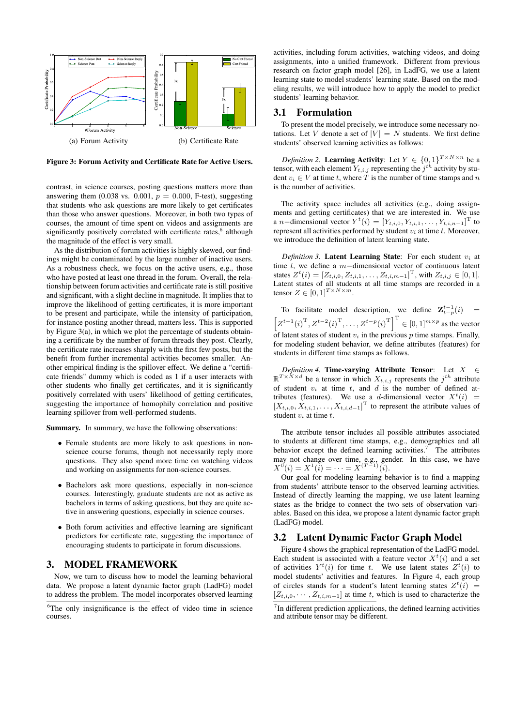

Figure 3: Forum Activity and Certificate Rate for Active Users.

contrast, in science courses, posting questions matters more than answering them (0.038 vs. 0.001,  $p = 0.000$ , F-test), suggesting that students who ask questions are more likely to get certificates than those who answer questions. Moreover, in both two types of courses, the amount of time spent on videos and assignments are significantly positively correlated with certificate rates,<sup>6</sup> although the magnitude of the effect is very small.

As the distribution of forum activities is highly skewed, our findings might be contaminated by the large number of inactive users. As a robustness check, we focus on the active users, e.g., those who have posted at least one thread in the forum. Overall, the relationship between forum activities and certificate rate is still positive and significant, with a slight decline in magnitude. It implies that to improve the likelihood of getting certificates, it is more important to be present and participate, while the intensity of participation, for instance posting another thread, matters less. This is supported by Figure 3(a), in which we plot the percentage of students obtaining a certificate by the number of forum threads they post. Clearly, the certificate rate increases sharply with the first few posts, but the benefit from further incremental activities becomes smaller. Another empirical finding is the spillover effect. We define a "certificate friends" dummy which is coded as 1 if a user interacts with other students who finally get certificates, and it is significantly positively correlated with users' likelihood of getting certificates, suggesting the importance of homophily correlation and positive learning spillover from well-performed students.

Summary. In summary, we have the following observations:

- Female students are more likely to ask questions in nonscience course forums, though not necessarily reply more questions. They also spend more time on watching videos and working on assignments for non-science courses.
- Bachelors ask more questions, especially in non-science courses. Interestingly, graduate students are not as active as bachelors in terms of asking questions, but they are quite active in answering questions, especially in science courses.
- Both forum activities and effective learning are significant predictors for certificate rate, suggesting the importance of encouraging students to participate in forum discussions.

### 3. MODEL FRAMEWORK

Now, we turn to discuss how to model the learning behavioral data. We propose a latent dynamic factor graph (LadFG) model to address the problem. The model incorporates observed learning

activities, including forum activities, watching videos, and doing assignments, into a unified framework. Different from previous research on factor graph model [26], in LadFG, we use a latent learning state to model students' learning state. Based on the modeling results, we will introduce how to apply the model to predict students' learning behavior.

#### 3.1 Formulation

To present the model precisely, we introduce some necessary notations. Let V denote a set of  $|V| = N$  students. We first define students' observed learning activities as follows:

*Definition* 2. Learning Activity: Let  $Y \in \{0,1\}^{T \times N \times n}$  be a tensor, with each element  $Y_{t,i,j}$  representing the  $j^{th}$  activity by student  $v_i \in V$  at time t, where T is the number of time stamps and n is the number of activities.

The activity space includes all activities (e.g., doing assignments and getting certificates) that we are interested in. We use a *n*−dimensional vector  $Y^t(i) = [Y_{t,i,0}, Y_{t,i,1}, \ldots, Y_{t,i,n-1}]^T$  to represent all activities performed by student  $v_i$  at time  $t$ . Moreover, we introduce the definition of latent learning state.

*Definition 3.* Latent Learning State: For each student  $v_i$  at time t, we define a m−dimensional vector of continuous latent states  $Z^t(i) = [Z_{t,i,0}, Z_{t,i,1}, \ldots, Z_{t,i,m-1}]^T$ , with  $Z_{t,i,j} \in [0,1]$ . Latent states of all students at all time stamps are recorded in a tensor  $Z \in [0, 1]^{T \times N \times m}$ .

To facilitate model description, we define  $\mathbf{Z}_{t-p}^{t-1}(i)$  =  $\left[ Z^{t-1}(i)^{\rm T}, Z^{t-2}(i)^{\rm T}, \ldots, Z^{t-p}(i)^{\rm T} \right]^{\rm T} \in [0,1]^{m \times p}$  as the vector of latent states of student  $v_i$  in the previous p time stamps. Finally, for modeling student behavior, we define attributes (features) for students in different time stamps as follows.

*Definition 4.* Time-varying Attribute Tensor: Let  $X \in$  $\mathbb{R}^{T \times N \times d}$  be a tensor in which  $X_{t,i,j}$  represents the  $j^{th}$  attribute of student  $v_i$  at time  $t$ , and  $d$  is the number of defined attributes (features). We use a d-dimensional vector  $X^t(i)$  =  $[X_{t,i,0}, X_{t,i,1}, \ldots, X_{t,i,d-1}]$ <sup>T</sup> to represent the attribute values of student  $v_i$  at time  $t$ .

The attribute tensor includes all possible attributes associated to students at different time stamps, e.g., demographics and all behavior except the defined learning activities.<sup>7</sup> The attributes may not change over time, e.g., gender. In this case, we have  $X^0(i) = X^1(i) = \cdots = X^{(T-1)}(i).$ 

Our goal for modeling learning behavior is to find a mapping from students' attribute tensor to the observed learning activities. Instead of directly learning the mapping, we use latent learning states as the bridge to connect the two sets of observation variables. Based on this idea, we propose a latent dynamic factor graph (LadFG) model.

### 3.2 Latent Dynamic Factor Graph Model

Figure 4 shows the graphical representation of the LadFG model. Each student is associated with a feature vector  $X^t(i)$  and a set of activities  $Y^t(i)$  for time t. We use latent states  $Z^t(i)$  to model students' activities and features. In Figure 4, each group of circles stands for a student's latent learning states  $Z^{t}(\tilde{i}) =$  $[Z_{t,i,0}, \cdots, Z_{t,i,m-1}]$  at time t, which is used to characterize the

<sup>&</sup>lt;sup>6</sup>The only insignificance is the effect of video time in science courses.

<sup>&</sup>lt;sup>7</sup>In different prediction applications, the defined learning activities and attribute tensor may be different.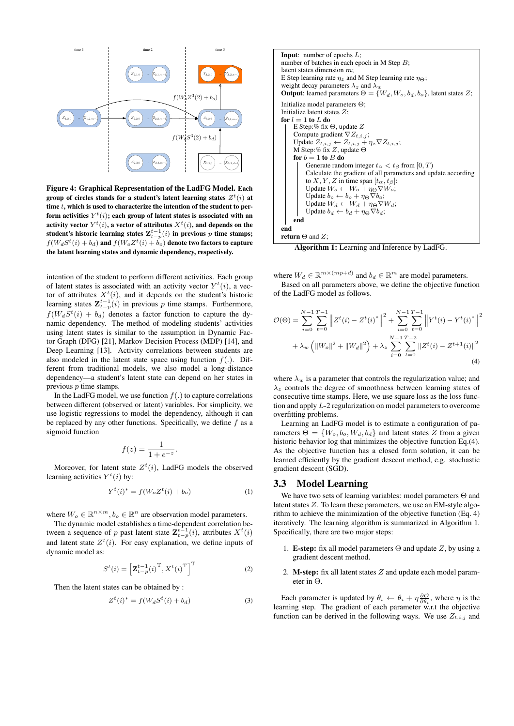

Figure 4: Graphical Representation of the LadFG Model. Each group of circles stands for a student's latent learning states  $Z^t(i)$  at time  $t$ , which is used to characterize the intention of the student to perform activities  $Y^t(i)$ ; each group of latent states is associated with an activity vector  $Y^t(i)$ , a vector of attributes  $X^t(i)$ , and depends on the student's historic learning states  $\mathbf{Z}_{t-p}^{t-1}(i)$  in previous  $p$  time stamps;  $f(W_dS^t(i)+b_d)$  and  $f(W_oZ^t(i)+\dot{b_o})$  denote two factors to capture the latent learning states and dynamic dependency, respectively.

intention of the student to perform different activities. Each group of latent states is associated with an activity vector  $Y^t(i)$ , a vector of attributes  $X^{t}(i)$ , and it depends on the student's historic learning states  $\mathbf{Z}_{t-p}^{t-1}(i)$  in previous p time stamps. Furthermore,  $f(W_dS^t(i) + b_d)$  denotes a factor function to capture the dynamic dependency. The method of modeling students' activities using latent states is similar to the assumption in Dynamic Factor Graph (DFG) [21], Markov Decision Process (MDP) [14], and Deep Learning [13]. Activity correlations between students are also modeled in the latent state space using function  $f(.)$ . Different from traditional models, we also model a long-distance dependency—a student's latent state can depend on her states in previous p time stamps.

In the LadFG model, we use function  $f(.)$  to capture correlations between different (observed or latent) variables. For simplicity, we use logistic regressions to model the dependency, although it can be replaced by any other functions. Specifically, we define  $f$  as a sigmoid function

$$
f(z) = \frac{1}{1 + e^{-z}}.
$$

Moreover, for latent state  $Z^{t}(i)$ , LadFG models the observed learning activities  $Y^t(i)$  by:

$$
Y^{t}(i)^{*} = f(W_{o}Z^{t}(i) + b_{o})
$$
\n(1)

where  $W_o \in \mathbb{R}^{n \times m}$ ,  $b_o \in \mathbb{R}^n$  are observation model parameters.

The dynamic model establishes a time-dependent correlation between a sequence of p past latent state  $\mathbf{Z}_{t-p}^{t-1}(i)$ , attributes  $X^{t}(i)$ and latent state  $Z^t(i)$ . For easy explanation, we define inputs of dynamic model as:

$$
S^{t}(i) = \left[\mathbf{Z}_{t-p}^{t-1}(i)^{\mathrm{T}}, X^{t}(i)^{\mathrm{T}}\right]^{\mathrm{T}}
$$
\n(2)

Then the latent states can be obtained by :

$$
Z^{t}(i)^{*} = f(W_{d}S^{t}(i) + b_{d})
$$
\n(3)

**Input:** number of epochs *L*;  
number of batches in each epoch in M Step *B*;  
latent states dimension *m*;  
E Step learning rate 
$$
\eta_z
$$
 and M Step learning rate  $\eta_{\Theta}$ ;  
weight decay parameters  $\lambda_z$  and  $\lambda_w$   
**Output:** learned parameters  $\Theta = \{W_d, W_o, b_d, b_o\}$ , latent states *Z*;  
Initialize model parameters  $\Theta$ ;  
Initialize latent states *Z*;  
**for**  $l = 1$  **to** *L* **do**  
E Step: %  $f$  **is**  $\Theta$ , update *Z*  
Compute gradient  $\nabla Z_{t,i,j}$ ;  
Update  $Z_{t,i,j} \leftarrow Z_{t,i,j} + \eta_z \nabla Z_{t,i,j}$ ;  
M Step: % fix *Z*, update  $\Theta$   
**for**  $b = 1$  **to** *B* **do**  
Generate random integer  $t_{\alpha} < t_{\beta}$  from  $[0, T)$   
Calculate the gradient of all parameters and update according  
to *X*, *Y*, *Z* in time span  $[t_{\alpha}, t_{\beta}]$ :  
Update  $W_o \leftarrow W_o + \eta_{\Theta} \nabla b_o$ ;  
Update  $W_a \leftarrow W_a + \eta_{\Theta} \nabla W_a$ ;  
Update  $b_d \leftarrow b_d + \eta_{\Theta} \nabla b_d$ ;  
Update  $b_d \leftarrow b_d + \eta_{\Theta} \nabla b_d$ ;  
end  
**end**  
**end**

Algorithm 1: Learning and Inference by LadFG.

where  $W_d \in \mathbb{R}^{m \times (mp+d)}$  and  $b_d \in \mathbb{R}^m$  are model parameters.

Based on all parameters above, we define the objective function of the LadFG model as follows.

$$
\mathcal{O}(\Theta) = \sum_{i=0}^{N-1} \sum_{t=0}^{T-1} \left\| Z^t(i) - Z^t(i)^* \right\|^2 + \sum_{i=0}^{N-1} \sum_{t=0}^{T-1} \left\| Y^t(i) - Y^t(i)^* \right\|^2
$$

$$
+ \lambda_w \left( \|W_o\|^2 + \|W_d\|^2 \right) + \lambda_z \sum_{i=0}^{N-1} \sum_{t=0}^{T-2} \| Z^t(i) - Z^{t+1}(i) \|^2
$$
(4)

where  $\lambda_w$  is a parameter that controls the regularization value; and  $\lambda_z$  controls the degree of smoothness between learning states of consecutive time stamps. Here, we use square loss as the loss function and apply L-2 regularization on model parameters to overcome overfitting problems.

Learning an LadFG model is to estimate a configuration of parameters  $\Theta = \{W_o, b_o, W_d, b_d\}$  and latent states Z from a given historic behavior log that minimizes the objective function Eq.(4). As the objective function has a closed form solution, it can be learned efficiently by the gradient descent method, e.g. stochastic gradient descent (SGD).

#### 3.3 Model Learning

We have two sets of learning variables: model parameters Θ and latent states Z. To learn these parameters, we use an EM-style algorithm to achieve the minimization of the objective function (Eq. 4) iteratively. The learning algorithm is summarized in Algorithm 1. Specifically, there are two major steps:

- 1. **E-step:** fix all model parameters  $\Theta$  and update Z, by using a gradient descent method.
- 2. **M-step:** fix all latent states  $Z$  and update each model parameter in Θ.

Each parameter is updated by  $\theta_i \leftarrow \theta_i + \eta \frac{\partial \mathcal{O}}{\partial \theta_i}$ , where  $\eta$  is the learning step. The gradient of each parameter w.r.t the objective function can be derived in the following ways. We use  $Z_{t,i,j}$  and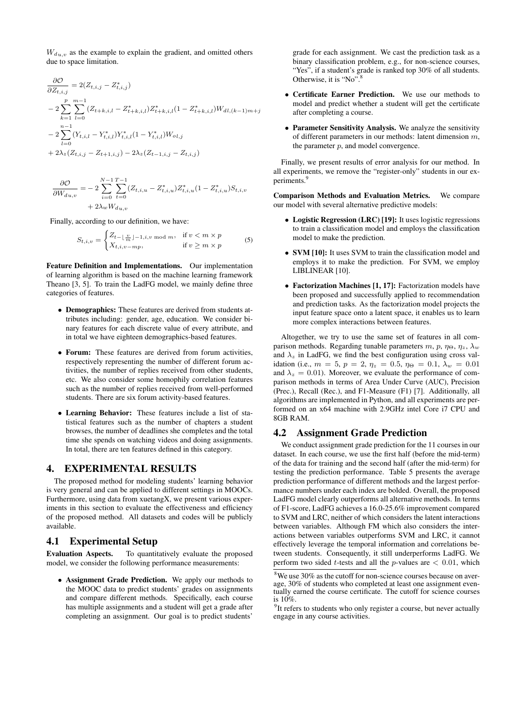$W_{du,v}$  as the example to explain the gradient, and omitted others due to space limitation.

$$
\frac{\partial \mathcal{O}}{\partial Z_{t,i,j}} = 2(Z_{t,i,j} - Z_{t,i,j}^*)
$$
\n
$$
-2\sum_{k=1}^{p} \sum_{l=0}^{m-1} (Z_{t+k,i,l} - Z_{t+k,i,l}^*) Z_{t+k,i,l}^* (1 - Z_{t+k,i,l}^*) W_{dl,(k-1)m+j}
$$
\n
$$
-2\sum_{l=0}^{n-1} (Y_{t,i,l} - Y_{t,i,l}^*) Y_{t,i,l}^* (1 - Y_{t,i,l}^*) W_{ol,j}
$$
\n
$$
+ 2\lambda_z (Z_{t,i,j} - Z_{t+1,i,j}) - 2\lambda_z (Z_{t-1,i,j} - Z_{t,i,j})
$$

$$
\frac{\partial \mathcal{O}}{\partial W_{d u, v}} = -2 \sum_{i=0}^{N-1} \sum_{t=0}^{T-1} (Z_{t,i,u} - Z_{t,i,u}^*) Z_{t,i,u}^* (1 - Z_{t,i,u}^*) S_{t,i,v}
$$

$$
+ 2 \lambda_w W_{d u, v}
$$

Finally, according to our definition, we have:

$$
S_{t,i,v} = \begin{cases} Z_{t-\lfloor \frac{v}{m} \rfloor-1,i,v \bmod m}, & \text{if } v < m \times p \\ X_{t,i,v-mp}, & \text{if } v \ge m \times p \end{cases} \tag{5}
$$

Feature Definition and Implementations. Our implementation of learning algorithm is based on the machine learning framework Theano [3, 5]. To train the LadFG model, we mainly define three categories of features.

- Demographics: These features are derived from students attributes including: gender, age, education. We consider binary features for each discrete value of every attribute, and in total we have eighteen demographics-based features.
- Forum: These features are derived from forum activities, respectively representing the number of different forum activities, the number of replies received from other students, etc. We also consider some homophily correlation features such as the number of replies received from well-performed students. There are six forum activity-based features.
- Learning Behavior: These features include a list of statistical features such as the number of chapters a student browses, the number of deadlines she completes and the total time she spends on watching videos and doing assignments. In total, there are ten features defined in this category.

# 4. EXPERIMENTAL RESULTS

The proposed method for modeling students' learning behavior is very general and can be applied to different settings in MOOCs. Furthermore, using data from xuetangX, we present various experiments in this section to evaluate the effectiveness and efficiency of the proposed method. All datasets and codes will be publicly available.

# 4.1 Experimental Setup

Evaluation Aspects. To quantitatively evaluate the proposed model, we consider the following performance measurements:

• Assignment Grade Prediction. We apply our methods to the MOOC data to predict students' grades on assignments and compare different methods. Specifically, each course has multiple assignments and a student will get a grade after completing an assignment. Our goal is to predict students'

grade for each assignment. We cast the prediction task as a binary classification problem, e.g., for non-science courses, "Yes", if a student's grade is ranked top 30% of all students. Otherwise, it is "No".<sup>8</sup>

- Certificate Earner Prediction. We use our methods to model and predict whether a student will get the certificate after completing a course.
- Parameter Sensitivity Analysis. We analyze the sensitivity of different parameters in our methods: latent dimension  $m$ , the parameter  $p$ , and model convergence.

Finally, we present results of error analysis for our method. In all experiments, we remove the "register-only" students in our experiments.<sup>9</sup>

Comparison Methods and Evaluation Metrics. We compare our model with several alternative predictive models:

- Logistic Regression (LRC) [19]: It uses logistic regressions to train a classification model and employs the classification model to make the prediction.
- SVM [10]: It uses SVM to train the classification model and employs it to make the prediction. For SVM, we employ LIBLINEAR [10].
- Factorization Machines [1, 17]: Factorization models have been proposed and successfully applied to recommendation and prediction tasks. As the factorization model projects the input feature space onto a latent space, it enables us to learn more complex interactions between features.

Altogether, we try to use the same set of features in all comparison methods. Regarding tunable parameters m, p,  $\eta_{\Theta}$ ,  $\eta_z$ ,  $\lambda_w$ and  $\lambda_z$  in LadFG, we find the best configuration using cross validation (i.e.,  $m = 5$ ,  $p = 2$ ,  $\eta_z = 0.5$ ,  $\eta_\Theta = 0.1$ ,  $\lambda_w = 0.01$ and  $\lambda_z = 0.01$ ). Moreover, we evaluate the performance of comparison methods in terms of Area Under Curve (AUC), Precision (Prec.), Recall (Rec.), and F1-Measure (F1) [7]. Additionally, all algorithms are implemented in Python, and all experiments are performed on an x64 machine with 2.9GHz intel Core i7 CPU and 8GB RAM.

# 4.2 Assignment Grade Prediction

We conduct assignment grade prediction for the 11 courses in our dataset. In each course, we use the first half (before the mid-term) of the data for training and the second half (after the mid-term) for testing the prediction performance. Table 5 presents the average prediction performance of different methods and the largest performance numbers under each index are bolded. Overall, the proposed LadFG model clearly outperforms all alternative methods. In terms of F1-score, LadFG achieves a 16.0-25.6% improvement compared to SVM and LRC, neither of which considers the latent interactions between variables. Although FM which also considers the interactions between variables outperforms SVM and LRC, it cannot effectively leverage the temporal information and correlations between students. Consequently, it still underperforms LadFG. We perform two sided *t*-tests and all the *p*-values are  $\langle 0.01,$  which

 $8$ We use 30% as the cutoff for non-science courses because on average, 30% of students who completed at least one assignment eventually earned the course certificate. The cutoff for science courses is 10%.

<sup>&</sup>lt;sup>9</sup>It refers to students who only register a course, but never actually engage in any course activities.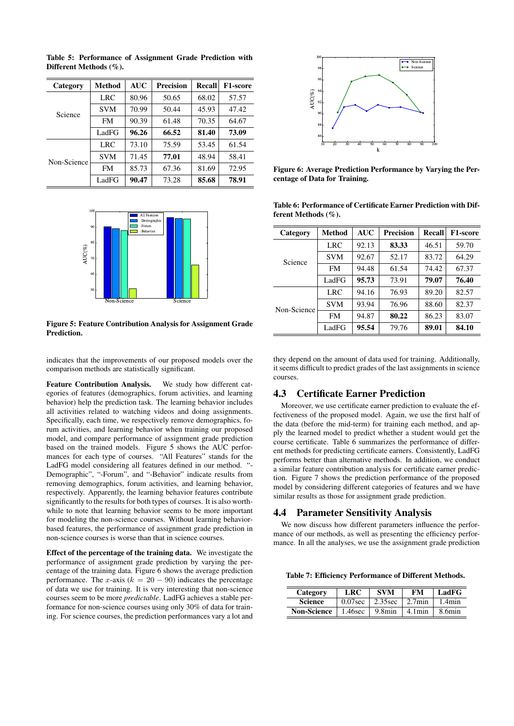| Category    | <b>Method</b> | <b>AUC</b> | <b>Precision</b> | Recall | <b>F1-score</b> |
|-------------|---------------|------------|------------------|--------|-----------------|
| Science     | <b>LRC</b>    | 80.96      | 50.65            | 68.02  | 57.57           |
|             | <b>SVM</b>    | 70.99      | 50.44            | 45.93  | 47.42           |
|             | <b>FM</b>     | 90.39      | 61.48            | 70.35  | 64.67           |
|             | LadFG         | 96.26      | 66.52            | 81.40  | 73.09           |
| Non-Science | LRC           | 73.10      | 75.59            | 53.45  | 61.54           |
|             | <b>SVM</b>    | 71.45      | 77.01            | 48.94  | 58.41           |
|             | <b>FM</b>     | 85.73      | 67.36            | 81.69  | 72.95           |
|             | LadFG         | 90.47      | 73.28            | 85.68  | 78.91           |

Table 5: Performance of Assignment Grade Prediction with Different Methods (%).



Figure 5: Feature Contribution Analysis for Assignment Grade Prediction.

indicates that the improvements of our proposed models over the comparison methods are statistically significant.

Feature Contribution Analysis. We study how different categories of features (demographics, forum activities, and learning behavior) help the prediction task. The learning behavior includes all activities related to watching videos and doing assignments. Specifically, each time, we respectively remove demographics, forum activities, and learning behavior when training our proposed model, and compare performance of assignment grade prediction based on the trained models. Figure 5 shows the AUC performances for each type of courses. "All Features" stands for the LadFG model considering all features defined in our method. "- Demographic", "-Forum", and "-Behavior" indicate results from removing demographics, forum activities, and learning behavior, respectively. Apparently, the learning behavior features contribute significantly to the results for both types of courses. It is also worthwhile to note that learning behavior seems to be more important for modeling the non-science courses. Without learning behaviorbased features, the performance of assignment grade prediction in non-science courses is worse than that in science courses.

Effect of the percentage of the training data. We investigate the performance of assignment grade prediction by varying the percentage of the training data. Figure 6 shows the average prediction performance. The x-axis ( $k = 20 - 90$ ) indicates the percentage of data we use for training. It is very interesting that non-science courses seem to be more *predictable*. LadFG achieves a stable performance for non-science courses using only 30% of data for training. For science courses, the prediction performances vary a lot and



Figure 6: Average Prediction Performance by Varying the Percentage of Data for Training.

Table 6: Performance of Certificate Earner Prediction with Different Methods (%).

| Category    | Method     | <b>AUC</b> | <b>Precision</b> | Recall | <b>F1-score</b> |
|-------------|------------|------------|------------------|--------|-----------------|
| Science     | <b>LRC</b> | 92.13      | 83.33            | 46.51  | 59.70           |
|             | <b>SVM</b> | 92.67      | 52.17            | 83.72  | 64.29           |
|             | <b>FM</b>  | 94.48      | 61.54            | 74.42  | 67.37           |
|             | LadFG      | 95.73      | 73.91            | 79.07  | 76.40           |
| Non-Science | <b>LRC</b> | 94.16      | 76.93            | 89.20  | 82.57           |
|             | <b>SVM</b> | 93.94      | 76.96            | 88.60  | 82.37           |
|             | <b>FM</b>  | 94.87      | 80.22            | 86.23  | 83.07           |
|             | LadFG      | 95.54      | 79.76            | 89.01  | 84.10           |

they depend on the amount of data used for training. Additionally, it seems difficult to predict grades of the last assignments in science courses.

### 4.3 Certificate Earner Prediction

Moreover, we use certificate earner prediction to evaluate the effectiveness of the proposed model. Again, we use the first half of the data (before the mid-term) for training each method, and apply the learned model to predict whether a student would get the course certificate. Table 6 summarizes the performance of different methods for predicting certificate earners. Consistently, LadFG performs better than alternative methods. In addition, we conduct a similar feature contribution analysis for certificate earner prediction. Figure 7 shows the prediction performance of the proposed model by considering different categories of features and we have similar results as those for assignment grade prediction.

### 4.4 Parameter Sensitivity Analysis

We now discuss how different parameters influence the performance of our methods, as well as presenting the efficiency performance. In all the analyses, we use the assignment grade prediction

Table 7: Efficiency Performance of Different Methods.

| Category           | LRC        | <b>SVM</b> | <b>FM</b> | LadFG     |
|--------------------|------------|------------|-----------|-----------|
| Science            | $0.07$ sec | $2.35$ sec | $2.7$ min | $1.4$ min |
| <b>Non-Science</b> | $1.46$ sec | 9.8min     | $4.1$ min | 8.6min    |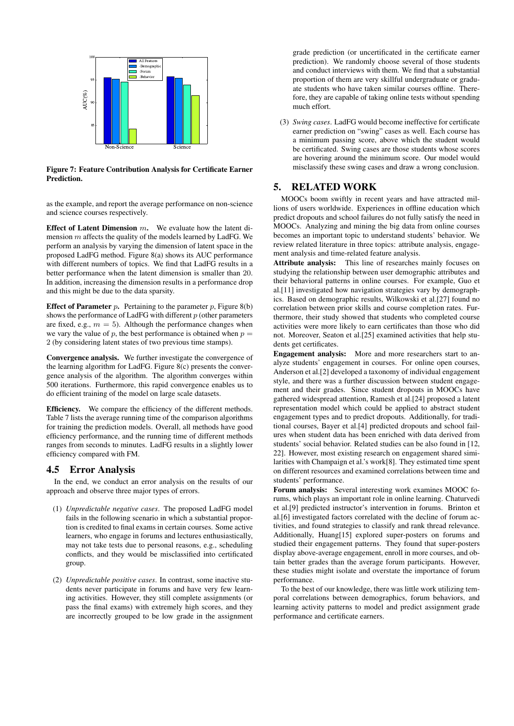

#### Figure 7: Feature Contribution Analysis for Certificate Earner **Prediction**

as the example, and report the average performance on non-science and science courses respectively.

**Effect of Latent Dimension**  $m$ . We evaluate how the latent dimension m affects the quality of the models learned by LadFG. We perform an analysis by varying the dimension of latent space in the proposed LadFG method. Figure 8(a) shows its AUC performance with different numbers of topics. We find that LadFG results in a better performance when the latent dimension is smaller than 20. In addition, increasing the dimension results in a performance drop and this might be due to the data sparsity.

**Effect of Parameter**  $p$ . Pertaining to the parameter  $p$ , Figure 8(b) shows the performance of LadFG with different  $p$  (other parameters are fixed, e.g.,  $m = 5$ ). Although the performance changes when we vary the value of  $p$ , the best performance is obtained when  $p =$ 2 (by considering latent states of two previous time stamps).

Convergence analysis. We further investigate the convergence of the learning algorithm for LadFG. Figure 8(c) presents the convergence analysis of the algorithm. The algorithm converges within 500 iterations. Furthermore, this rapid convergence enables us to do efficient training of the model on large scale datasets.

Efficiency. We compare the efficiency of the different methods. Table 7 lists the average running time of the comparison algorithms for training the prediction models. Overall, all methods have good efficiency performance, and the running time of different methods ranges from seconds to minutes. LadFG results in a slightly lower efficiency compared with FM.

# 4.5 Error Analysis

In the end, we conduct an error analysis on the results of our approach and observe three major types of errors.

- (1) *Unpredictable negative cases*. The proposed LadFG model fails in the following scenario in which a substantial proportion is credited to final exams in certain courses. Some active learners, who engage in forums and lectures enthusiastically, may not take tests due to personal reasons, e.g., scheduling conflicts, and they would be misclassified into certificated group.
- (2) *Unpredictable positive cases*. In contrast, some inactive students never participate in forums and have very few learning activities. However, they still complete assignments (or pass the final exams) with extremely high scores, and they are incorrectly grouped to be low grade in the assignment

grade prediction (or uncertificated in the certificate earner prediction). We randomly choose several of those students and conduct interviews with them. We find that a substantial proportion of them are very skillful undergraduate or graduate students who have taken similar courses offline. Therefore, they are capable of taking online tests without spending much effort.

(3) *Swing cases*. LadFG would become ineffective for certificate earner prediction on "swing" cases as well. Each course has a minimum passing score, above which the student would be certificated. Swing cases are those students whose scores are hovering around the minimum score. Our model would misclassify these swing cases and draw a wrong conclusion.

# 5. RELATED WORK

MOOCs boom swiftly in recent years and have attracted millions of users worldwide. Experiences in offline education which predict dropouts and school failures do not fully satisfy the need in MOOCs. Analyzing and mining the big data from online courses becomes an important topic to understand students' behavior. We review related literature in three topics: attribute analysis, engagement analysis and time-related feature analysis.

Attribute analysis: This line of researches mainly focuses on studying the relationship between user demographic attributes and their behavioral patterns in online courses. For example, Guo et al.[11] investigated how navigation strategies vary by demographics. Based on demographic results, Wilkowski et al.[27] found no correlation between prior skills and course completion rates. Furthermore, their study showed that students who completed course activities were more likely to earn certificates than those who did not. Moreover, Seaton et al.[25] examined activities that help students get certificates.

Engagement analysis: More and more researchers start to analyze students' engagement in courses. For online open courses, Anderson et al.[2] developed a taxonomy of individual engagement style, and there was a further discussion between student engagement and their grades. Since student dropouts in MOOCs have gathered widespread attention, Ramesh et al.[24] proposed a latent representation model which could be applied to abstract student engagement types and to predict dropouts. Additionally, for traditional courses, Bayer et al.[4] predicted dropouts and school failures when student data has been enriched with data derived from students' social behavior. Related studies can be also found in [12, 22]. However, most existing research on engagement shared similarities with Champaign et al.'s work[8]. They estimated time spent on different resources and examined correlations between time and students' performance.

Forum analysis: Several interesting work examines MOOC forums, which plays an important role in online learning. Chaturvedi et al.[9] predicted instructor's intervention in forums. Brinton et al.[6] investigated factors correlated with the decline of forum activities, and found strategies to classify and rank thread relevance. Additionally, Huang[15] explored super-posters on forums and studied their engagement patterns. They found that super-posters display above-average engagement, enroll in more courses, and obtain better grades than the average forum participants. However, these studies might isolate and overstate the importance of forum performance.

To the best of our knowledge, there was little work utilizing temporal correlations between demographics, forum behaviors, and learning activity patterns to model and predict assignment grade performance and certificate earners.